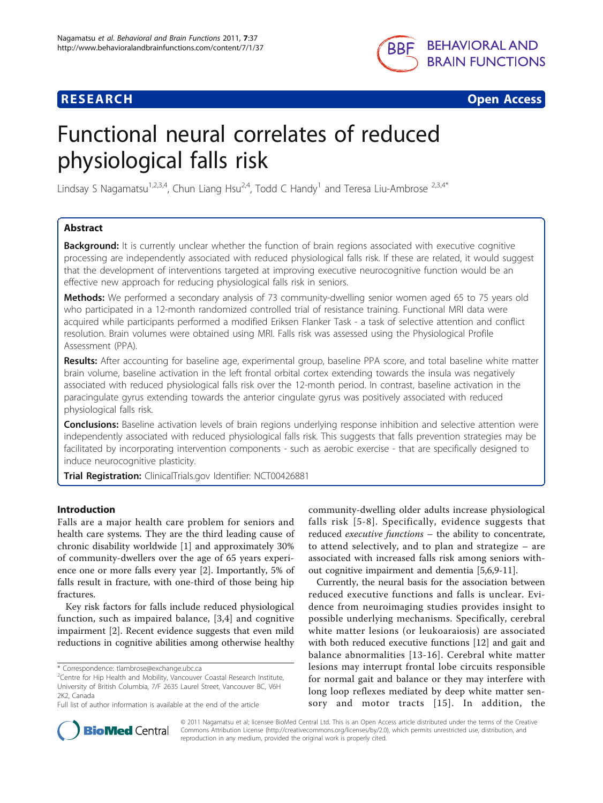



# Functional neural correlates of reduced physiological falls risk

Lindsay S Nagamatsu<sup>1,2,3,4</sup>, Chun Liang Hsu<sup>2,4</sup>, Todd C Handy<sup>1</sup> and Teresa Liu-Ambrose <sup>2,3,4</sup>\*

### Abstract

**Background:** It is currently unclear whether the function of brain regions associated with executive cognitive processing are independently associated with reduced physiological falls risk. If these are related, it would suggest that the development of interventions targeted at improving executive neurocognitive function would be an effective new approach for reducing physiological falls risk in seniors.

Methods: We performed a secondary analysis of 73 community-dwelling senior women aged 65 to 75 years old who participated in a 12-month randomized controlled trial of resistance training. Functional MRI data were acquired while participants performed a modified Eriksen Flanker Task - a task of selective attention and conflict resolution. Brain volumes were obtained using MRI. Falls risk was assessed using the Physiological Profile Assessment (PPA).

Results: After accounting for baseline age, experimental group, baseline PPA score, and total baseline white matter brain volume, baseline activation in the left frontal orbital cortex extending towards the insula was negatively associated with reduced physiological falls risk over the 12-month period. In contrast, baseline activation in the paracingulate gyrus extending towards the anterior cingulate gyrus was positively associated with reduced physiological falls risk.

Conclusions: Baseline activation levels of brain regions underlying response inhibition and selective attention were independently associated with reduced physiological falls risk. This suggests that falls prevention strategies may be facilitated by incorporating intervention components - such as aerobic exercise - that are specifically designed to induce neurocognitive plasticity.

Trial Registration: ClinicalTrials.gov Identifier: [NCT00426881](http://www.clinicaltrials.gov/ct2/show/NCT00426881)

#### Introduction

Falls are a major health care problem for seniors and health care systems. They are the third leading cause of chronic disability worldwide [\[1](#page-7-0)] and approximately 30% of community-dwellers over the age of 65 years experience one or more falls every year [\[2](#page-7-0)]. Importantly, 5% of falls result in fracture, with one-third of those being hip fractures.

Key risk factors for falls include reduced physiological function, such as impaired balance, [\[3](#page-7-0),[4\]](#page-7-0) and cognitive impairment [[2\]](#page-7-0). Recent evidence suggests that even mild reductions in cognitive abilities among otherwise healthy community-dwelling older adults increase physiological falls risk [[5-8](#page-7-0)]. Specifically, evidence suggests that reduced executive functions – the ability to concentrate, to attend selectively, and to plan and strategize – are associated with increased falls risk among seniors without cognitive impairment and dementia [\[5,6,9](#page-7-0)-[11](#page-7-0)].

Currently, the neural basis for the association between reduced executive functions and falls is unclear. Evidence from neuroimaging studies provides insight to possible underlying mechanisms. Specifically, cerebral white matter lesions (or leukoaraiosis) are associated with both reduced executive functions [\[12](#page-7-0)] and gait and balance abnormalities [[13-16](#page-7-0)]. Cerebral white matter lesions may interrupt frontal lobe circuits responsible for normal gait and balance or they may interfere with long loop reflexes mediated by deep white matter sensory and motor tracts [[15](#page-7-0)]. In addition, the



© 2011 Nagamatsu et al; licensee BioMed Central Ltd. This is an Open Access article distributed under the terms of the Creative Commons Attribution License [\(http://creativecommons.org/licenses/by/2.0](http://creativecommons.org/licenses/by/2.0)), which permits unrestricted use, distribution, and reproduction in any medium, provided the original work is properly cited.

<sup>\*</sup> Correspondence: [tlambrose@exchange.ubc.ca](mailto:tlambrose@exchange.ubc.ca)

<sup>&</sup>lt;sup>2</sup> Centre for Hip Health and Mobility, Vancouver Coastal Research Institute, University of British Columbia, 7/F 2635 Laurel Street, Vancouver BC, V6H 2K2, Canada

Full list of author information is available at the end of the article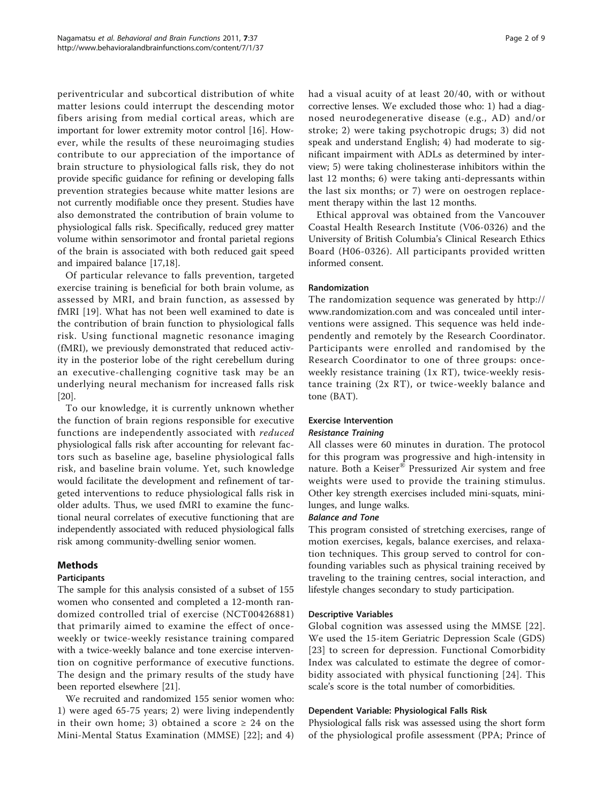periventricular and subcortical distribution of white matter lesions could interrupt the descending motor fibers arising from medial cortical areas, which are important for lower extremity motor control [[16\]](#page-7-0). However, while the results of these neuroimaging studies contribute to our appreciation of the importance of brain structure to physiological falls risk, they do not provide specific guidance for refining or developing falls prevention strategies because white matter lesions are not currently modifiable once they present. Studies have also demonstrated the contribution of brain volume to physiological falls risk. Specifically, reduced grey matter volume within sensorimotor and frontal parietal regions of the brain is associated with both reduced gait speed and impaired balance [\[17,](#page-7-0)[18\]](#page-8-0).

Of particular relevance to falls prevention, targeted exercise training is beneficial for both brain volume, as assessed by MRI, and brain function, as assessed by fMRI [[19\]](#page-8-0). What has not been well examined to date is the contribution of brain function to physiological falls risk. Using functional magnetic resonance imaging (fMRI), we previously demonstrated that reduced activity in the posterior lobe of the right cerebellum during an executive-challenging cognitive task may be an underlying neural mechanism for increased falls risk [[20\]](#page-8-0).

To our knowledge, it is currently unknown whether the function of brain regions responsible for executive functions are independently associated with reduced physiological falls risk after accounting for relevant factors such as baseline age, baseline physiological falls risk, and baseline brain volume. Yet, such knowledge would facilitate the development and refinement of targeted interventions to reduce physiological falls risk in older adults. Thus, we used fMRI to examine the functional neural correlates of executive functioning that are independently associated with reduced physiological falls risk among community-dwelling senior women.

#### Methods

#### Participants

The sample for this analysis consisted of a subset of 155 women who consented and completed a 12-month randomized controlled trial of exercise (NCT00426881) that primarily aimed to examine the effect of onceweekly or twice-weekly resistance training compared with a twice-weekly balance and tone exercise intervention on cognitive performance of executive functions. The design and the primary results of the study have been reported elsewhere [\[21\]](#page-8-0).

We recruited and randomized 155 senior women who: 1) were aged 65-75 years; 2) were living independently in their own home; 3) obtained a score  $\geq$  24 on the Mini-Mental Status Examination (MMSE) [[22\]](#page-8-0); and 4) had a visual acuity of at least 20/40, with or without corrective lenses. We excluded those who: 1) had a diagnosed neurodegenerative disease (e.g., AD) and/or stroke; 2) were taking psychotropic drugs; 3) did not speak and understand English; 4) had moderate to significant impairment with ADLs as determined by interview; 5) were taking cholinesterase inhibitors within the last 12 months; 6) were taking anti-depressants within the last six months; or 7) were on oestrogen replacement therapy within the last 12 months.

Ethical approval was obtained from the Vancouver Coastal Health Research Institute (V06-0326) and the University of British Columbia's Clinical Research Ethics Board (H06-0326). All participants provided written informed consent.

#### Randomization

The randomization sequence was generated by [http://](http://www.randomization.com) [www.randomization.com](http://www.randomization.com) and was concealed until interventions were assigned. This sequence was held independently and remotely by the Research Coordinator. Participants were enrolled and randomised by the Research Coordinator to one of three groups: onceweekly resistance training (1x RT), twice-weekly resistance training (2x RT), or twice-weekly balance and tone (BAT).

## Exercise Intervention

#### Resistance Training

All classes were 60 minutes in duration. The protocol for this program was progressive and high-intensity in nature. Both a Keiser® Pressurized Air system and free weights were used to provide the training stimulus. Other key strength exercises included mini-squats, minilunges, and lunge walks.

#### Balance and Tone

This program consisted of stretching exercises, range of motion exercises, kegals, balance exercises, and relaxation techniques. This group served to control for confounding variables such as physical training received by traveling to the training centres, social interaction, and lifestyle changes secondary to study participation.

#### Descriptive Variables

Global cognition was assessed using the MMSE [[22\]](#page-8-0). We used the 15-item Geriatric Depression Scale (GDS) [[23](#page-8-0)] to screen for depression. Functional Comorbidity Index was calculated to estimate the degree of comorbidity associated with physical functioning [[24](#page-8-0)]. This scale's score is the total number of comorbidities.

#### Dependent Variable: Physiological Falls Risk

Physiological falls risk was assessed using the short form of the physiological profile assessment (PPA; Prince of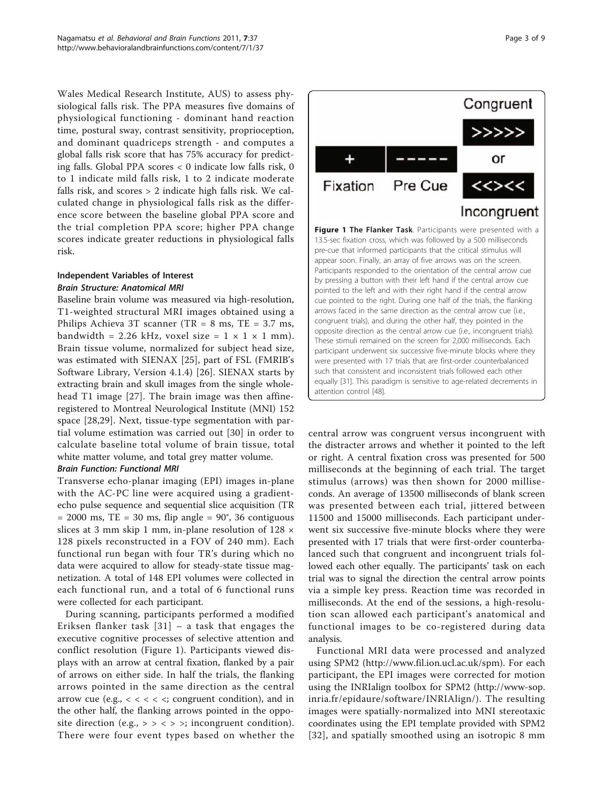Wales Medical Research Institute, AUS) to assess physiological falls risk. The PPA measures five domains of physiological functioning - dominant hand reaction time, postural sway, contrast sensitivity, proprioception, and dominant quadriceps strength - and computes a global falls risk score that has 75% accuracy for predicting falls. Global PPA scores < 0 indicate low falls risk, 0 to 1 indicate mild falls risk, 1 to 2 indicate moderate falls risk, and scores > 2 indicate high falls risk. We calculated change in physiological falls risk as the difference score between the baseline global PPA score and the trial completion PPA score; higher PPA change scores indicate greater reductions in physiological falls risk.

#### Independent Variables of Interest Brain Structure: Anatomical MRI

Baseline brain volume was measured via high-resolution, T1-weighted structural MRI images obtained using a Philips Achieva 3T scanner (TR = 8 ms, TE = 3.7 ms, bandwidth = 2.26 kHz, voxel size =  $1 \times 1 \times 1$  mm). Brain tissue volume, normalized for subject head size, was estimated with SIENAX [\[25](#page-8-0)], part of FSL (FMRIB's Software Library, Version 4.1.4) [\[26](#page-8-0)]. SIENAX starts by extracting brain and skull images from the single wholehead T1 image [[27\]](#page-8-0). The brain image was then affineregistered to Montreal Neurological Institute (MNI) 152 space [\[28,29\]](#page-8-0). Next, tissue-type segmentation with partial volume estimation was carried out [\[30\]](#page-8-0) in order to calculate baseline total volume of brain tissue, total white matter volume, and total grey matter volume.

#### Brain Function: Functional MRI

Transverse echo-planar imaging (EPI) images in-plane with the AC-PC line were acquired using a gradientecho pulse sequence and sequential slice acquisition (TR  $= 2000$  ms, TE  $= 30$  ms, flip angle  $= 90^{\circ}$ , 36 contiguous slices at 3 mm skip 1 mm, in-plane resolution of 128 × 128 pixels reconstructed in a FOV of 240 mm). Each functional run began with four TR's during which no data were acquired to allow for steady-state tissue magnetization. A total of 148 EPI volumes were collected in each functional run, and a total of 6 functional runs were collected for each participant.

During scanning, participants performed a modified Eriksen flanker task [[31](#page-8-0)] – a task that engages the executive cognitive processes of selective attention and conflict resolution (Figure 1). Participants viewed displays with an arrow at central fixation, flanked by a pair of arrows on either side. In half the trials, the flanking arrows pointed in the same direction as the central arrow cue (e.g.,  $<<$   $<<$  congruent condition), and in the other half, the flanking arrows pointed in the opposite direction (e.g.,  $>$  > < > >; incongruent condition). There were four event types based on whether the



central arrow was congruent versus incongruent with the distracter arrows and whether it pointed to the left or right. A central fixation cross was presented for 500 milliseconds at the beginning of each trial. The target stimulus (arrows) was then shown for 2000 milliseconds. An average of 13500 milliseconds of blank screen was presented between each trial, jittered between 11500 and 15000 milliseconds. Each participant underwent six successive five-minute blocks where they were presented with 17 trials that were first-order counterbalanced such that congruent and incongruent trials followed each other equally. The participants' task on each trial was to signal the direction the central arrow points via a simple key press. Reaction time was recorded in milliseconds. At the end of the sessions, a high-resolution scan allowed each participant's anatomical and functional images to be co-registered during data analysis.

Functional MRI data were processed and analyzed using SPM2 [\(http://www.fil.ion.ucl.ac.uk/spm\)](http://www.fil.ion.ucl.ac.uk/spm). For each participant, the EPI images were corrected for motion using the INRIalign toolbox for SPM2 [\(http://www-sop.](http://www-sop.inria.fr/epidaure/software/INRIAlign/) [inria.fr/epidaure/software/INRIAlign/\)](http://www-sop.inria.fr/epidaure/software/INRIAlign/). The resulting images were spatially-normalized into MNI stereotaxic coordinates using the EPI template provided with SPM2 [[32](#page-8-0)], and spatially smoothed using an isotropic 8 mm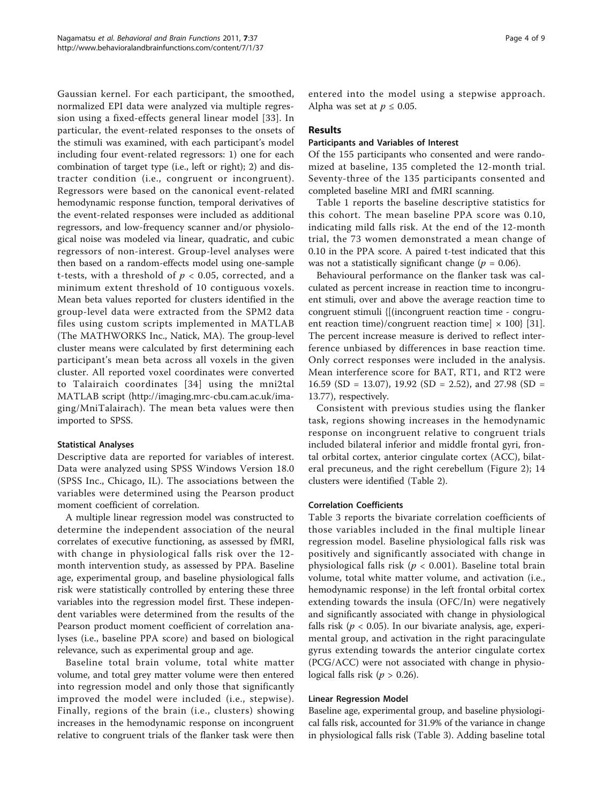Gaussian kernel. For each participant, the smoothed, normalized EPI data were analyzed via multiple regression using a fixed-effects general linear model [\[33\]](#page-8-0). In particular, the event-related responses to the onsets of the stimuli was examined, with each participant's model including four event-related regressors: 1) one for each combination of target type (i.e., left or right); 2) and distracter condition (i.e., congruent or incongruent). Regressors were based on the canonical event-related hemodynamic response function, temporal derivatives of the event-related responses were included as additional regressors, and low-frequency scanner and/or physiological noise was modeled via linear, quadratic, and cubic regressors of non-interest. Group-level analyses were then based on a random-effects model using one-sample t-tests, with a threshold of  $p < 0.05$ , corrected, and a minimum extent threshold of 10 contiguous voxels. Mean beta values reported for clusters identified in the group-level data were extracted from the SPM2 data files using custom scripts implemented in MATLAB (The MATHWORKS Inc., Natick, MA). The group-level cluster means were calculated by first determining each participant's mean beta across all voxels in the given cluster. All reported voxel coordinates were converted to Talairaich coordinates [[34](#page-8-0)] using the mni2tal MATLAB script [\(http://imaging.mrc-cbu.cam.ac.uk/ima](http://imaging.mrc-cbu.cam.ac.uk/imaging/MniTalairach)[ging/MniTalairach\)](http://imaging.mrc-cbu.cam.ac.uk/imaging/MniTalairach). The mean beta values were then imported to SPSS.

#### Statistical Analyses

Descriptive data are reported for variables of interest. Data were analyzed using SPSS Windows Version 18.0 (SPSS Inc., Chicago, IL). The associations between the variables were determined using the Pearson product moment coefficient of correlation.

A multiple linear regression model was constructed to determine the independent association of the neural correlates of executive functioning, as assessed by fMRI, with change in physiological falls risk over the 12 month intervention study, as assessed by PPA. Baseline age, experimental group, and baseline physiological falls risk were statistically controlled by entering these three variables into the regression model first. These independent variables were determined from the results of the Pearson product moment coefficient of correlation analyses (i.e., baseline PPA score) and based on biological relevance, such as experimental group and age.

Baseline total brain volume, total white matter volume, and total grey matter volume were then entered into regression model and only those that significantly improved the model were included (i.e., stepwise). Finally, regions of the brain (i.e., clusters) showing increases in the hemodynamic response on incongruent relative to congruent trials of the flanker task were then entered into the model using a stepwise approach. Alpha was set at  $p \leq 0.05$ .

#### Results

#### Participants and Variables of Interest

Of the 155 participants who consented and were randomized at baseline, 135 completed the 12-month trial. Seventy-three of the 135 participants consented and completed baseline MRI and fMRI scanning.

Table [1](#page-4-0) reports the baseline descriptive statistics for this cohort. The mean baseline PPA score was 0.10, indicating mild falls risk. At the end of the 12-month trial, the 73 women demonstrated a mean change of 0.10 in the PPA score. A paired t-test indicated that this was not a statistically significant change ( $p = 0.06$ ).

Behavioural performance on the flanker task was calculated as percent increase in reaction time to incongruent stimuli, over and above the average reaction time to congruent stimuli {[(incongruent reaction time - congruent reaction time)/congruent reaction time]  $\times$  100} [\[31](#page-8-0)]. The percent increase measure is derived to reflect interference unbiased by differences in base reaction time. Only correct responses were included in the analysis. Mean interference score for BAT, RT1, and RT2 were 16.59 (SD = 13.07), 19.92 (SD = 2.52), and 27.98 (SD = 13.77), respectively.

Consistent with previous studies using the flanker task, regions showing increases in the hemodynamic response on incongruent relative to congruent trials included bilateral inferior and middle frontal gyri, frontal orbital cortex, anterior cingulate cortex (ACC), bilateral precuneus, and the right cerebellum (Figure [2\)](#page-5-0); 14 clusters were identified (Table [2\)](#page-5-0).

#### Correlation Coefficients

Table [3](#page-6-0) reports the bivariate correlation coefficients of those variables included in the final multiple linear regression model. Baseline physiological falls risk was positively and significantly associated with change in physiological falls risk ( $p < 0.001$ ). Baseline total brain volume, total white matter volume, and activation (i.e., hemodynamic response) in the left frontal orbital cortex extending towards the insula (OFC/In) were negatively and significantly associated with change in physiological falls risk ( $p < 0.05$ ). In our bivariate analysis, age, experimental group, and activation in the right paracingulate gyrus extending towards the anterior cingulate cortex (PCG/ACC) were not associated with change in physiological falls risk ( $p > 0.26$ ).

#### Linear Regression Model

Baseline age, experimental group, and baseline physiological falls risk, accounted for 31.9% of the variance in change in physiological falls risk (Table [3\)](#page-6-0). Adding baseline total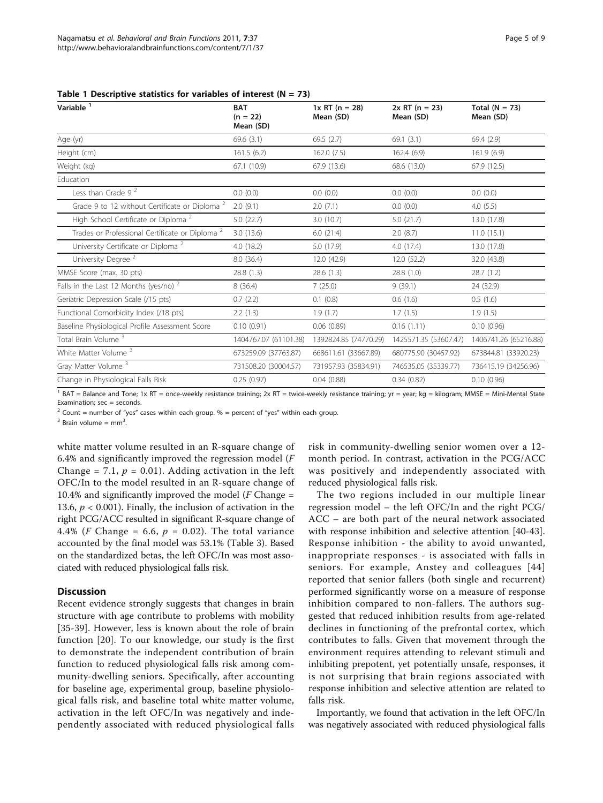| Variable <sup>1</sup>                                      | <b>BAT</b><br>$(n = 22)$<br>Mean (SD) | $1x RT (n = 28)$<br>Mean (SD) | $2x RT (n = 23)$<br>Mean (SD) | Total $(N = 73)$<br>Mean (SD) |
|------------------------------------------------------------|---------------------------------------|-------------------------------|-------------------------------|-------------------------------|
| Age (yr)                                                   | 69.6(3.1)                             | 69.5(2.7)                     | 69.1(3.1)                     | 69.4(2.9)                     |
| Height (cm)                                                | 161.5(6.2)                            | 162.0(7.5)                    | 162.4 (6.9)                   | 161.9(6.9)                    |
| Weight (kg)                                                | 67.1 (10.9)                           | 67.9 (13.6)                   | 68.6 (13.0)                   | 67.9 (12.5)                   |
| Education                                                  |                                       |                               |                               |                               |
| Less than Grade $92$                                       | 0.0(0.0)                              | 0.0(0.0)                      | 0.0(0.0)                      | 0.0(0.0)                      |
| Grade 9 to 12 without Certificate or Diploma <sup>2</sup>  | 2.0(9.1)                              | 2.0(7.1)                      | 0.0(0.0)                      | 4.0(5.5)                      |
| High School Certificate or Diploma <sup>2</sup>            | 5.0(22.7)                             | 3.0(10.7)                     | 5.0(21.7)                     | 13.0 (17.8)                   |
| Trades or Professional Certificate or Diploma <sup>2</sup> | 3.0(13.6)                             | 6.0(21.4)                     | 2.0(8.7)                      | 11.0(15.1)                    |
| University Certificate or Diploma <sup>2</sup>             | 4.0(18.2)                             | 5.0 (17.9)                    | 4.0 (17.4)                    | 13.0 (17.8)                   |
| University Degree <sup>2</sup>                             | 8.0(36.4)                             | 12.0 (42.9)                   | 12.0 (52.2)                   | 32.0 (43.8)                   |
| MMSE Score (max. 30 pts)                                   | 28.8 (1.3)                            | 28.6 (1.3)                    | 28.8 (1.0)                    | 28.7(1.2)                     |
| Falls in the Last 12 Months (yes/no) $2$                   | 8(36.4)                               | 7(25.0)                       | 9(39.1)                       | 24 (32.9)                     |
| Geriatric Depression Scale (/15 pts)                       | 0.7(2.2)                              | 0.1(0.8)                      | 0.6(1.6)                      | 0.5(1.6)                      |
| Functional Comorbidity Index (/18 pts)                     | 2.2(1.3)                              | 1.9(1.7)                      | 1.7(1.5)                      | 1.9(1.5)                      |
| Baseline Physiological Profile Assessment Score            | 0.10(0.91)                            | 0.06(0.89)                    | 0.16(1.11)                    | 0.10(0.96)                    |
| Total Brain Volume <sup>3</sup>                            | 1404767.07 (61101.38)                 | 1392824.85 (74770.29)         | 1425571.35 (53607.47)         | 1406741.26 (65216.88)         |
| White Matter Volume <sup>3</sup>                           | 673259.09 (37763.87)                  | 668611.61 (33667.89)          | 680775.90 (30457.92)          | 673844.81 (33920.23)          |
| Gray Matter Volume <sup>3</sup>                            | 731508.20 (30004.57)                  | 731957.93 (35834.91)          | 746535.05 (35339.77)          | 736415.19 (34256.96)          |
| Change in Physiological Falls Risk                         | 0.25(0.97)                            | 0.04(0.88)                    | 0.34(0.82)                    | 0.10(0.96)                    |

<span id="page-4-0"></span>Table 1 Descriptive statistics for variables of interest  $(N = 73)$ 

<sup>1</sup> BAT = Balance and Tone; 1x RT = once-weekly resistance training; 2x RT = twice-weekly resistance training; yr = year; kg = kilogram; MMSE = Mini-Mental State Examination:  $sec = seconds$ .

<sup>2</sup> Count = number of "yes" cases within each group.  $%$  = percent of "yes" within each group.

 $3$  Brain volume = mm<sup>3</sup>. .

white matter volume resulted in an R-square change of 6.4% and significantly improved the regression model  $(F)$ Change = 7.1,  $p = 0.01$ ). Adding activation in the left OFC/In to the model resulted in an R-square change of 10.4% and significantly improved the model ( $F$  Change = 13.6,  $p < 0.001$ ). Finally, the inclusion of activation in the right PCG/ACC resulted in significant R-square change of 4.4% (F Change = 6.6,  $p = 0.02$ ). The total variance accounted by the final model was 53.1% (Table [3\)](#page-6-0). Based on the standardized betas, the left OFC/In was most associated with reduced physiological falls risk.

#### **Discussion**

Recent evidence strongly suggests that changes in brain structure with age contribute to problems with mobility [[35-39\]](#page-8-0). However, less is known about the role of brain function [[20](#page-8-0)]. To our knowledge, our study is the first to demonstrate the independent contribution of brain function to reduced physiological falls risk among community-dwelling seniors. Specifically, after accounting for baseline age, experimental group, baseline physiological falls risk, and baseline total white matter volume, activation in the left OFC/In was negatively and independently associated with reduced physiological falls risk in community-dwelling senior women over a 12 month period. In contrast, activation in the PCG/ACC was positively and independently associated with reduced physiological falls risk.

The two regions included in our multiple linear regression model – the left OFC/In and the right PCG/ ACC – are both part of the neural network associated with response inhibition and selective attention [[40-43](#page-8-0)]. Response inhibition - the ability to avoid unwanted, inappropriate responses - is associated with falls in seniors. For example, Anstey and colleagues [[44](#page-8-0)] reported that senior fallers (both single and recurrent) performed significantly worse on a measure of response inhibition compared to non-fallers. The authors suggested that reduced inhibition results from age-related declines in functioning of the prefrontal cortex, which contributes to falls. Given that movement through the environment requires attending to relevant stimuli and inhibiting prepotent, yet potentially unsafe, responses, it is not surprising that brain regions associated with response inhibition and selective attention are related to falls risk.

Importantly, we found that activation in the left OFC/In was negatively associated with reduced physiological falls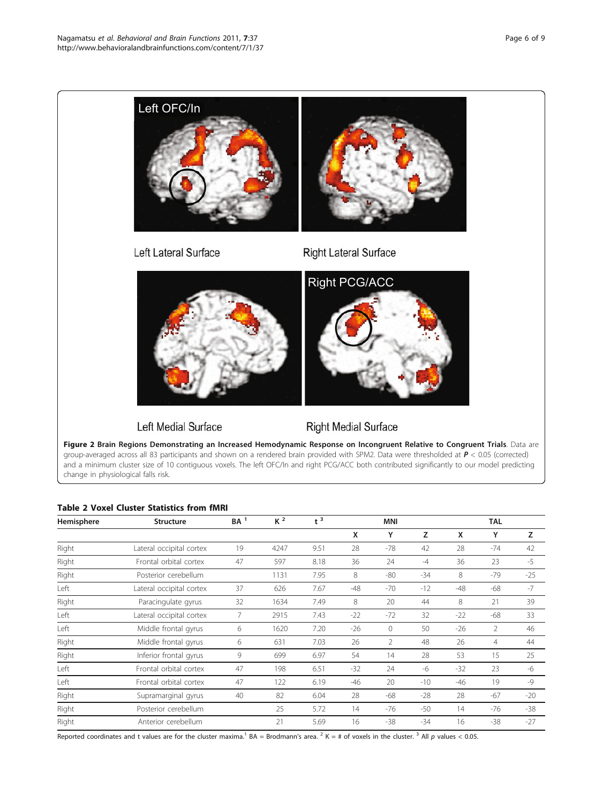<span id="page-5-0"></span>

group-averaged across all 83 participants and shown on a rendered brain provided with SPM2. Data were thresholded at  $P < 0.05$  (corrected) and a minimum cluster size of 10 contiguous voxels. The left OFC/In and right PCG/ACC both contributed significantly to our model predicting change in physiological falls risk.

#### Table 2 Voxel Cluster Statistics from fMRI

| Hemisphere | <b>Structure</b>         | $BA$ <sup>1</sup> | $K^2$ | $t^3$ |       | <b>MNI</b>     |       |       | <b>TAL</b>     |       |
|------------|--------------------------|-------------------|-------|-------|-------|----------------|-------|-------|----------------|-------|
|            |                          |                   |       |       | x     | Y              | z     | X     | Y              | Z     |
| Right      | Lateral occipital cortex | 19                | 4247  | 9.51  | 28    | -78            | 42    | 28    | $-74$          | 42    |
| Right      | Frontal orbital cortex   | 47                | 597   | 8.18  | 36    | 24             | $-4$  | 36    | 23             | -5    |
| Right      | Posterior cerebellum     |                   | 1131  | 7.95  | 8     | -80            | $-34$ | 8     | $-79$          | $-25$ |
| Left       | Lateral occipital cortex | 37                | 626   | 7.67  | $-48$ | -70            | $-12$ | $-48$ | $-68$          | $-7$  |
| Right      | Paracingulate gyrus      | 32                | 1634  | 7.49  | 8     | 20             | 44    | 8     | 21             | 39    |
| Left       | Lateral occipital cortex | 7                 | 2915  | 7.43  | $-22$ | $-72$          | 32    | $-22$ | $-68$          | 33    |
| Left       | Middle frontal gyrus     | 6                 | 1620  | 7.20  | $-26$ | $\mathbf{0}$   | 50    | $-26$ | $\overline{2}$ | 46    |
| Right      | Middle frontal gyrus     | 6                 | 631   | 7.03  | 26    | $\overline{2}$ | 48    | 26    | 4              | 44    |
| Right      | Inferior frontal gyrus   | 9                 | 699   | 6.97  | 54    | 14             | 28    | 53    | 15             | 25    |
| Left       | Frontal orbital cortex   | 47                | 198   | 6.51  | $-32$ | 24             | -6    | $-32$ | 23             | -6    |
| Left       | Frontal orbital cortex   | 47                | 122   | 6.19  | -46   | 20             | $-10$ | $-46$ | 19             | $-9$  |
| Right      | Supramarginal gyrus      | 40                | 82    | 6.04  | 28    | $-68$          | $-28$ | 28    | $-67$          | $-20$ |
| Right      | Posterior cerebellum     |                   | 25    | 5.72  | 14    | -76            | $-50$ | 14    | -76            | $-38$ |
| Right      | Anterior cerebellum      |                   | 21    | 5.69  | 16    | $-38$          | $-34$ | 16    | $-38$          | $-27$ |

Reported coordinates and t values are for the cluster maxima.<sup>1</sup> BA = Brodmann's area.<sup>2</sup> K = # of voxels in the cluster.<sup>3</sup> All p values < 0.05.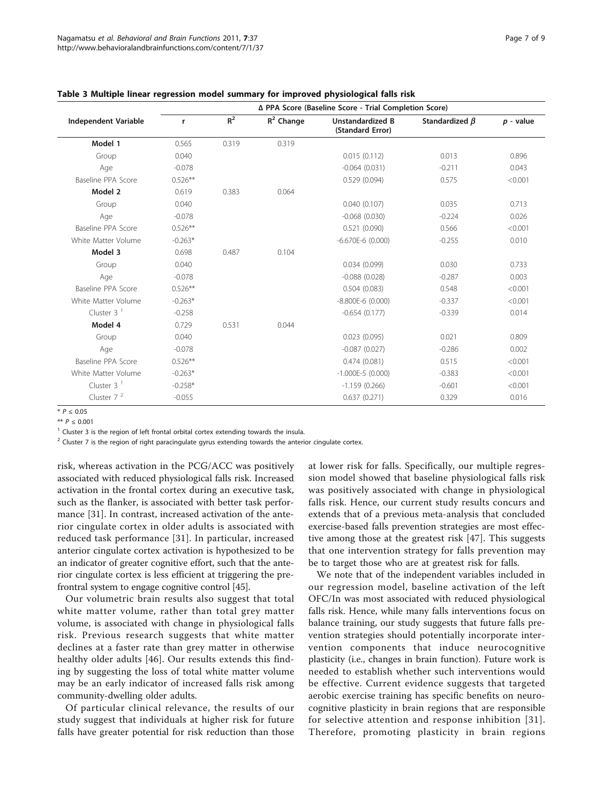|                             | ∆ PPA Score (Baseline Score - Trial Completion Score) |       |              |                                             |                      |             |  |  |  |
|-----------------------------|-------------------------------------------------------|-------|--------------|---------------------------------------------|----------------------|-------------|--|--|--|
| <b>Independent Variable</b> | r                                                     | $R^2$ | $R^2$ Change | <b>Unstandardized B</b><br>(Standard Error) | Standardized $\beta$ | $p$ - value |  |  |  |
| Model 1                     | 0.565                                                 | 0.319 | 0.319        |                                             |                      |             |  |  |  |
| Group                       | 0.040                                                 |       |              | 0.015(0.112)                                | 0.013                | 0.896       |  |  |  |
| Age                         | $-0.078$                                              |       |              | $-0.064(0.031)$                             | $-0.211$             | 0.043       |  |  |  |
| Baseline PPA Score          | $0.526**$                                             |       |              | 0.529(0.094)                                | 0.575                | < 0.001     |  |  |  |
| Model 2                     | 0.619                                                 | 0.383 | 0.064        |                                             |                      |             |  |  |  |
| Group                       | 0.040                                                 |       |              | 0.040(0.107)                                | 0.035                | 0.713       |  |  |  |
| Age                         | $-0.078$                                              |       |              | $-0.068(0.030)$                             | $-0.224$             | 0.026       |  |  |  |
| Baseline PPA Score          | $0.526***$                                            |       |              | 0.521(0.090)                                | 0.566                | < 0.001     |  |  |  |
| White Matter Volume         | $-0.263*$                                             |       |              | $-6.670E-6$ (0.000)                         | $-0.255$             | 0.010       |  |  |  |
| Model 3                     | 0.698                                                 | 0.487 | 0.104        |                                             |                      |             |  |  |  |
| Group                       | 0.040                                                 |       |              | 0.034(0.099)                                | 0.030                | 0.733       |  |  |  |
| Age                         | $-0.078$                                              |       |              | $-0.088(0.028)$                             | $-0.287$             | 0.003       |  |  |  |
| Baseline PPA Score          | $0.526**$                                             |       |              | 0.504(0.083)                                | 0.548                | < 0.001     |  |  |  |
| White Matter Volume         | $-0.263*$                                             |       |              | $-8.800E-6$ (0.000)                         | $-0.337$             | < 0.001     |  |  |  |
| Cluster $31$                | $-0.258$                                              |       |              | $-0.654(0.177)$                             | $-0.339$             | 0.014       |  |  |  |
| Model 4                     | 0.729                                                 | 0.531 | 0.044        |                                             |                      |             |  |  |  |
| Group                       | 0.040                                                 |       |              | 0.023(0.095)                                | 0.021                | 0.809       |  |  |  |
| Age                         | $-0.078$                                              |       |              | $-0.087(0.027)$                             | $-0.286$             | 0.002       |  |  |  |
| Baseline PPA Score          | $0.526***$                                            |       |              | 0.474(0.081)                                | 0.515                | < 0.001     |  |  |  |
| White Matter Volume         | $-0.263*$                                             |       |              | $-1.000E-5$ (0.000)                         | $-0.383$             | < 0.001     |  |  |  |
| Cluster $31$                | $-0.258*$                                             |       |              | $-1.159(0.266)$                             | $-0.601$             | < 0.001     |  |  |  |
| Cluster $72$                | $-0.055$                                              |       |              | 0.637(0.271)                                | 0.329                | 0.016       |  |  |  |

<span id="page-6-0"></span>

|  |  | Table 3 Multiple linear regression model summary for improved physiological falls risk |  |  |  |  |
|--|--|----------------------------------------------------------------------------------------|--|--|--|--|
|--|--|----------------------------------------------------------------------------------------|--|--|--|--|

\* P ≤ 0.05

\*\* P ≤ 0.001

<sup>1</sup> Cluster 3 is the region of left frontal orbital cortex extending towards the insula.

 $2$  Cluster 7 is the region of right paracingulate gyrus extending towards the anterior cingulate cortex.

risk, whereas activation in the PCG/ACC was positively associated with reduced physiological falls risk. Increased activation in the frontal cortex during an executive task, such as the flanker, is associated with better task performance [[31\]](#page-8-0). In contrast, increased activation of the anterior cingulate cortex in older adults is associated with reduced task performance [[31\]](#page-8-0). In particular, increased anterior cingulate cortex activation is hypothesized to be an indicator of greater cognitive effort, such that the anterior cingulate cortex is less efficient at triggering the prefrontral system to engage cognitive control [[45](#page-8-0)].

Our volumetric brain results also suggest that total white matter volume, rather than total grey matter volume, is associated with change in physiological falls risk. Previous research suggests that white matter declines at a faster rate than grey matter in otherwise healthy older adults [[46\]](#page-8-0). Our results extends this finding by suggesting the loss of total white matter volume may be an early indicator of increased falls risk among community-dwelling older adults.

Of particular clinical relevance, the results of our study suggest that individuals at higher risk for future falls have greater potential for risk reduction than those at lower risk for falls. Specifically, our multiple regression model showed that baseline physiological falls risk was positively associated with change in physiological falls risk. Hence, our current study results concurs and extends that of a previous meta-analysis that concluded exercise-based falls prevention strategies are most effective among those at the greatest risk [\[47](#page-8-0)]. This suggests that one intervention strategy for falls prevention may be to target those who are at greatest risk for falls.

We note that of the independent variables included in our regression model, baseline activation of the left OFC/In was most associated with reduced physiological falls risk. Hence, while many falls interventions focus on balance training, our study suggests that future falls prevention strategies should potentially incorporate intervention components that induce neurocognitive plasticity (i.e., changes in brain function). Future work is needed to establish whether such interventions would be effective. Current evidence suggests that targeted aerobic exercise training has specific benefits on neurocognitive plasticity in brain regions that are responsible for selective attention and response inhibition [[31\]](#page-8-0). Therefore, promoting plasticity in brain regions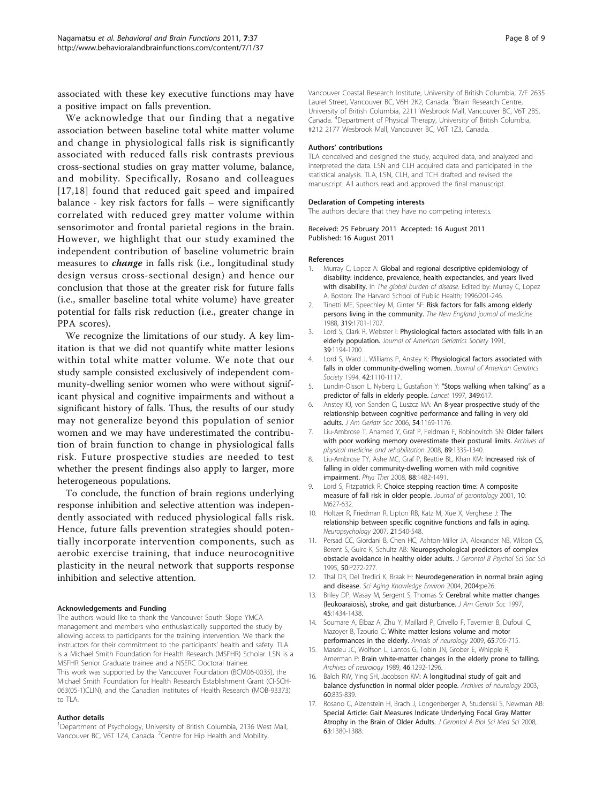<span id="page-7-0"></span>associated with these key executive functions may have a positive impact on falls prevention.

We acknowledge that our finding that a negative association between baseline total white matter volume and change in physiological falls risk is significantly associated with reduced falls risk contrasts previous cross-sectional studies on gray matter volume, balance, and mobility. Specifically, Rosano and colleagues [17,[18](#page-8-0)] found that reduced gait speed and impaired balance - key risk factors for falls – were significantly correlated with reduced grey matter volume within sensorimotor and frontal parietal regions in the brain. However, we highlight that our study examined the independent contribution of baseline volumetric brain measures to *change* in falls risk (i.e., longitudinal study design versus cross-sectional design) and hence our conclusion that those at the greater risk for future falls (i.e., smaller baseline total white volume) have greater potential for falls risk reduction (i.e., greater change in PPA scores).

We recognize the limitations of our study. A key limitation is that we did not quantify white matter lesions within total white matter volume. We note that our study sample consisted exclusively of independent community-dwelling senior women who were without significant physical and cognitive impairments and without a significant history of falls. Thus, the results of our study may not generalize beyond this population of senior women and we may have underestimated the contribution of brain function to change in physiological falls risk. Future prospective studies are needed to test whether the present findings also apply to larger, more heterogeneous populations.

To conclude, the function of brain regions underlying response inhibition and selective attention was independently associated with reduced physiological falls risk. Hence, future falls prevention strategies should potentially incorporate intervention components, such as aerobic exercise training, that induce neurocognitive plasticity in the neural network that supports response inhibition and selective attention.

#### Acknowledgements and Funding

The authors would like to thank the Vancouver South Slope YMCA management and members who enthusiastically supported the study by allowing access to participants for the training intervention. We thank the instructors for their commitment to the participants' health and safety. TLA is a Michael Smith Foundation for Health Research (MSFHR) Scholar. LSN is a MSFHR Senior Graduate trainee and a NSERC Doctoral trainee. This work was supported by the Vancouver Foundation (BCM06-0035), the Michael Smith Foundation for Health Research Establishment Grant (CI-SCH-063(05-1)CLIN), and the Canadian Institutes of Health Research (MOB-93373) to TLA.

#### Author details

<sup>1</sup>Department of Psychology, University of British Columbia, 2136 West Mall, Vancouver BC, V6T 1Z4, Canada. <sup>2</sup>Centre for Hip Health and Mobility,

Vancouver Coastal Research Institute, University of British Columbia, 7/F 2635 Laurel Street, Vancouver BC, V6H 2K2, Canada. <sup>3</sup>Brain Research Centre, University of British Columbia, 2211 Wesbrook Mall, Vancouver BC, V6T 2B5, Canada. <sup>4</sup> Department of Physical Therapy, University of British Columbia, #212 2177 Wesbrook Mall, Vancouver BC, V6T 1Z3, Canada.

#### Authors' contributions

TLA conceived and designed the study, acquired data, and analyzed and interpreted the data. LSN and CLH acquired data and participated in the statistical analysis. TLA, LSN, CLH, and TCH drafted and revised the manuscript. All authors read and approved the final manuscript.

#### Declaration of Competing interests

The authors declare that they have no competing interests.

Received: 25 February 2011 Accepted: 16 August 2011 Published: 16 August 2011

#### References

- 1. Murray C, Lopez A: Global and regional descriptive epidemiology of disability: incidence, prevalence, health expectancies, and years lived with disability. In The global burden of disease. Edited by: Murray C, Lopez A. Boston: The Harvard School of Public Health; 1996:201-246.
- 2. Tinetti ME, Speechley M, Ginter SF: [Risk factors for falls among elderly](http://www.ncbi.nlm.nih.gov/pubmed/3205267?dopt=Abstract) [persons living in the community.](http://www.ncbi.nlm.nih.gov/pubmed/3205267?dopt=Abstract) The New England journal of medicine 1988, 319:1701-1707.
- 3. Lord S, Clark R, Webster I: Physiological factors associated with falls in an elderly population. Journal of American Geriatrics Society 1991, 39:1194-1200.
- 4. Lord S, Ward J, Williams P, Anstey K: Physiological factors associated with falls in older community-dwelling women. Journal of American Geriatrics Society 1994, 42:1110-1117.
- 5. Lundin-Olsson L, Nyberg L, Gustafson Y: "[Stops walking when talking](http://www.ncbi.nlm.nih.gov/pubmed/9057737?dopt=Abstract)" as a [predictor of falls in elderly people.](http://www.ncbi.nlm.nih.gov/pubmed/9057737?dopt=Abstract) Lancet 1997, 349:617.
- 6. Anstey KJ, von Sanden C, Luszcz MA: [An 8-year prospective study of the](http://www.ncbi.nlm.nih.gov/pubmed/16913981?dopt=Abstract) [relationship between cognitive performance and falling in very old](http://www.ncbi.nlm.nih.gov/pubmed/16913981?dopt=Abstract) [adults.](http://www.ncbi.nlm.nih.gov/pubmed/16913981?dopt=Abstract) J Am Geriatr Soc 2006, 54:1169-1176.
- 7. Liu-Ambrose T, Ahamed Y, Graf P, Feldman F, Robinovitch SN: [Older fallers](http://www.ncbi.nlm.nih.gov/pubmed/18586136?dopt=Abstract) [with poor working memory overestimate their postural limits.](http://www.ncbi.nlm.nih.gov/pubmed/18586136?dopt=Abstract) Archives of physical medicine and rehabilitation 2008, 89:1335-1340.
- 8. Liu-Ambrose TY, Ashe MC, Graf P, Beattie BL, Khan KM: [Increased risk of](http://www.ncbi.nlm.nih.gov/pubmed/18820094?dopt=Abstract) [falling in older community-dwelling women with mild cognitive](http://www.ncbi.nlm.nih.gov/pubmed/18820094?dopt=Abstract) [impairment.](http://www.ncbi.nlm.nih.gov/pubmed/18820094?dopt=Abstract) Phys Ther 2008, 88:1482-1491.
- 9. Lord S, Fitzpatrick R: Choice stepping reaction time: A composite measure of fall risk in older people. Journal of gerontology 2001, 10: M627-632.
- 10. Holtzer R, Friedman R, Lipton RB, Katz M, Xue X, Verghese J: [The](http://www.ncbi.nlm.nih.gov/pubmed/17784802?dopt=Abstract) [relationship between specific cognitive functions and falls in aging.](http://www.ncbi.nlm.nih.gov/pubmed/17784802?dopt=Abstract) Neuropsychology 2007, 21:540-548.
- 11. Persad CC, Giordani B, Chen HC, Ashton-Miller JA, Alexander NB, Wilson CS, Berent S, Guire K, Schultz AB: [Neuropsychological predictors of complex](http://www.ncbi.nlm.nih.gov/pubmed/7656077?dopt=Abstract) [obstacle avoidance in healthy older adults.](http://www.ncbi.nlm.nih.gov/pubmed/7656077?dopt=Abstract) J Gerontol B Psychol Sci Soc Sci 1995, 50:P272-277.
- 12. Thal DR, Del Tredici K, Braak H: [Neurodegeneration in normal brain aging](http://www.ncbi.nlm.nih.gov/pubmed/15190177?dopt=Abstract) [and disease.](http://www.ncbi.nlm.nih.gov/pubmed/15190177?dopt=Abstract) Sci Aging Knowledge Environ 2004, 2004:pe26.
- 13. Briley DP, Wasay M, Sergent S, Thomas S: [Cerebral white matter changes](http://www.ncbi.nlm.nih.gov/pubmed/9400551?dopt=Abstract) [\(leukoaraiosis\), stroke, and gait disturbance.](http://www.ncbi.nlm.nih.gov/pubmed/9400551?dopt=Abstract) J Am Geriatr Soc 1997, 45:1434-1438.
- 14. Soumare A, Elbaz A, Zhu Y, Maillard P, Crivello F, Tavernier B, Dufouil C, Mazoyer B, Tzourio C: White [matter lesions volume and motor](http://www.ncbi.nlm.nih.gov/pubmed/19557865?dopt=Abstract) [performances in the elderly.](http://www.ncbi.nlm.nih.gov/pubmed/19557865?dopt=Abstract) Annals of neurology 2009, 65:706-715.
- 15. Masdeu JC, Wolfson L, Lantos G, Tobin JN, Grober E, Whipple R, Amerman P: [Brain white-matter changes in the elderly prone to falling.](http://www.ncbi.nlm.nih.gov/pubmed/2590013?dopt=Abstract) Archives of neurology 1989, 46:1292-1296.
- 16. Baloh RW, Ying SH, Jacobson KM: [A longitudinal study of gait and](http://www.ncbi.nlm.nih.gov/pubmed/12810488?dopt=Abstract) [balance dysfunction in normal older people.](http://www.ncbi.nlm.nih.gov/pubmed/12810488?dopt=Abstract) Archives of neurology 2003, 60:835-839.
- 17. Rosano C, Aizenstein H, Brach J, Longenberger A, Studenski S, Newman AB: [Special Article: Gait Measures Indicate Underlying Focal Gray Matter](http://www.ncbi.nlm.nih.gov/pubmed/19126852?dopt=Abstract) [Atrophy in the Brain of Older Adults.](http://www.ncbi.nlm.nih.gov/pubmed/19126852?dopt=Abstract) J Gerontol A Biol Sci Med Sci 2008, 63:1380-1388.